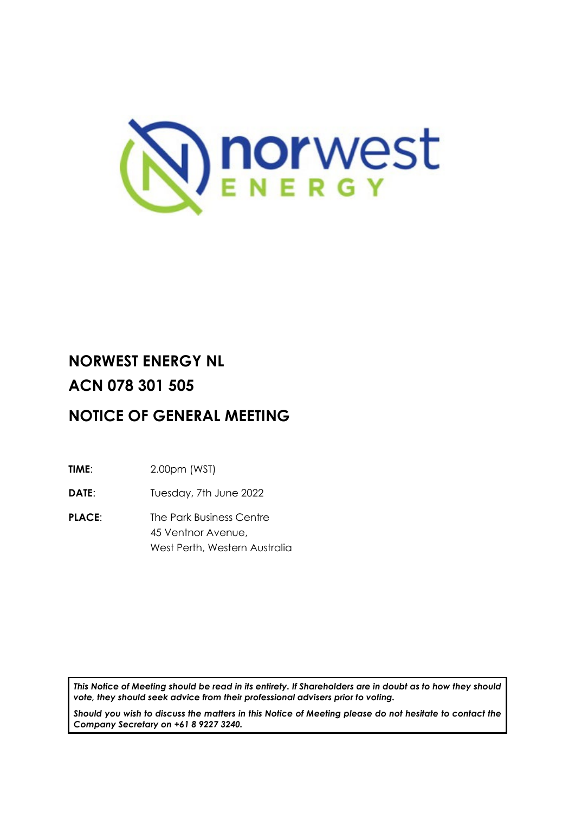

# **NORWEST ENERGY NL ACN 078 301 505**

# **NOTICE OF GENERAL MEETING**

**TIME**: 2.00pm (WST)

**DATE:** Tuesday, 7th June 2022

**PLACE:** The Park Business Centre 45 Ventnor Avenue, West Perth, Western Australia

*This Notice of Meeting should be read in its entirety. If Shareholders are in doubt as to how they should vote, they should seek advice from their professional advisers prior to voting.*

*Should you wish to discuss the matters in this Notice of Meeting please do not hesitate to contact the Company Secretary on +61 8 9227 3240.*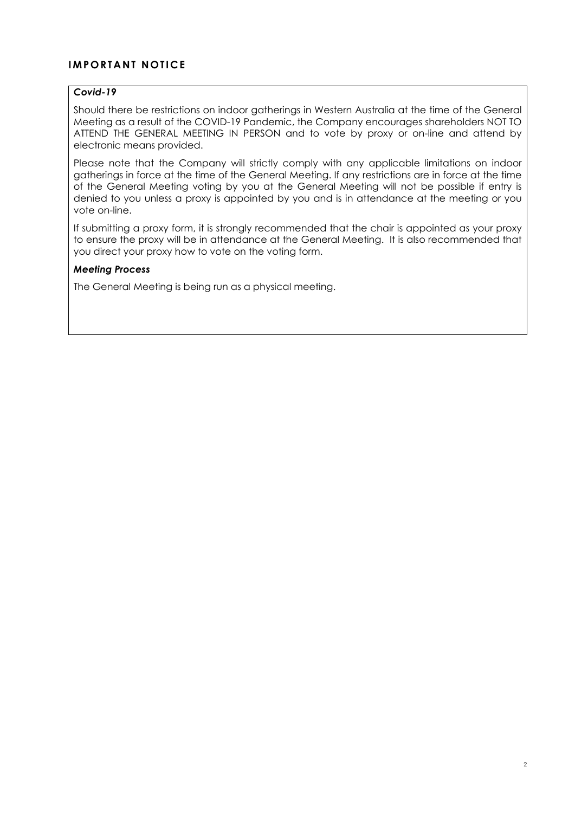# **IMPORTANT NOTICE**

### *Covid-19*

Should there be restrictions on indoor gatherings in Western Australia at the time of the General Meeting as a result of the COVID-19 Pandemic, the Company encourages shareholders NOT TO ATTEND THE GENERAL MEETING IN PERSON and to vote by proxy or on-line and attend by electronic means provided.

Please note that the Company will strictly comply with any applicable limitations on indoor gatherings in force at the time of the General Meeting. If any restrictions are in force at the time of the General Meeting voting by you at the General Meeting will not be possible if entry is denied to you unless a proxy is appointed by you and is in attendance at the meeting or you vote on-line.

If submitting a proxy form, it is strongly recommended that the chair is appointed as your proxy to ensure the proxy will be in attendance at the General Meeting. It is also recommended that you direct your proxy how to vote on the voting form.

### *Meeting Process*

The General Meeting is being run as a physical meeting.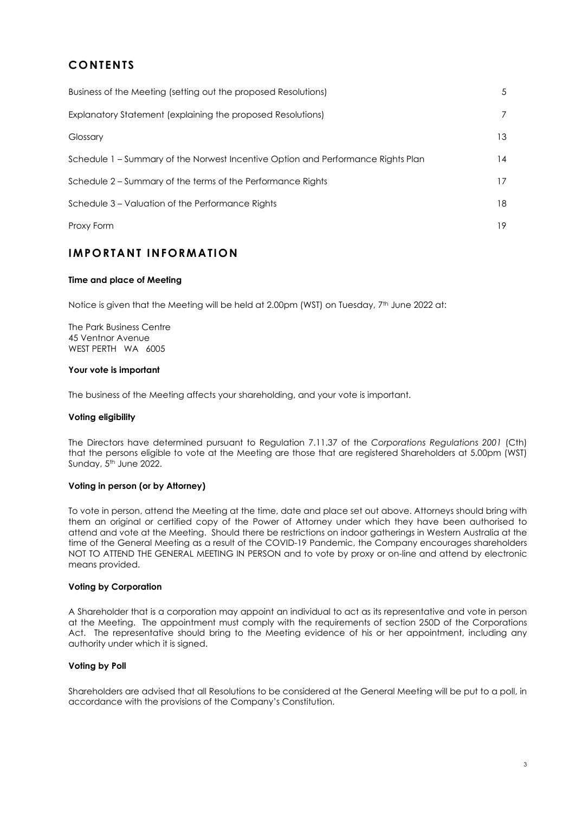# **CONTENTS**

| 5               |
|-----------------|
| $\overline{7}$  |
| 13              |
| $\overline{14}$ |
| 17              |
| 18              |
| 19              |
|                 |

# **IMPORTANT INFORMATION**

#### **Time and place of Meeting**

Notice is given that the Meeting will be held at 2.00pm (WST) on Tuesday, 7<sup>th</sup> June 2022 at:

The Park Business Centre 45 Ventnor Avenue WEST PERTH WA 6005

#### **Your vote is important**

The business of the Meeting affects your shareholding, and your vote is important.

#### **Voting eligibility**

The Directors have determined pursuant to Regulation 7.11.37 of the *Corporations Regulations 2001* (Cth) that the persons eligible to vote at the Meeting are those that are registered Shareholders at 5.00pm (WST) Sunday, 5<sup>th</sup> June 2022.

#### **Voting in person (or by Attorney)**

To vote in person, attend the Meeting at the time, date and place set out above. Attorneys should bring with them an original or certified copy of the Power of Attorney under which they have been authorised to attend and vote at the Meeting. Should there be restrictions on indoor gatherings in Western Australia at the time of the General Meeting as a result of the COVID-19 Pandemic, the Company encourages shareholders NOT TO ATTEND THE GENERAL MEETING IN PERSON and to vote by proxy or on-line and attend by electronic means provided.

#### **Voting by Corporation**

A Shareholder that is a corporation may appoint an individual to act as its representative and vote in person at the Meeting. The appointment must comply with the requirements of section 250D of the Corporations Act. The representative should bring to the Meeting evidence of his or her appointment, including any authority under which it is signed.

#### **Voting by Poll**

Shareholders are advised that all Resolutions to be considered at the General Meeting will be put to a poll, in accordance with the provisions of the Company's Constitution.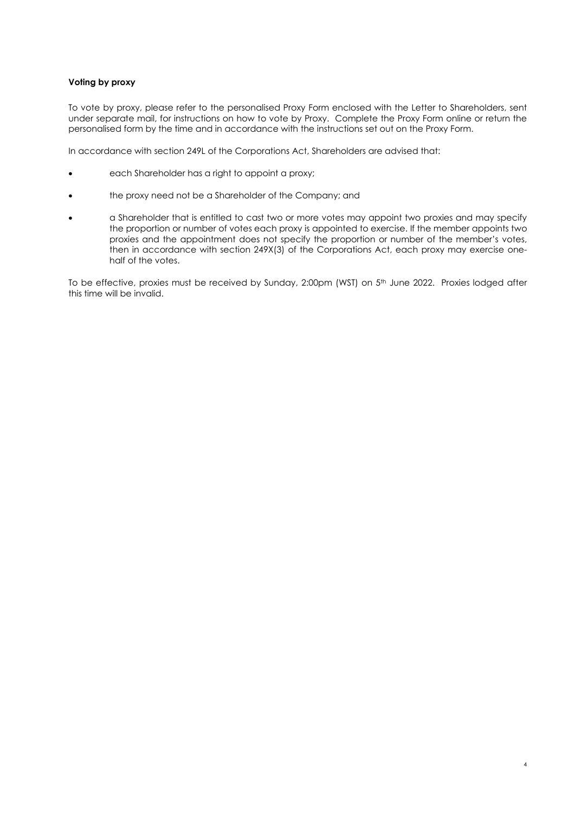#### **Voting by proxy**

To vote by proxy, please refer to the personalised Proxy Form enclosed with the Letter to Shareholders, sent under separate mail, for instructions on how to vote by Proxy. Complete the Proxy Form online or return the personalised form by the time and in accordance with the instructions set out on the Proxy Form.

In accordance with section 249L of the Corporations Act, Shareholders are advised that:

- each Shareholder has a right to appoint a proxy;
- the proxy need not be a Shareholder of the Company; and
- a Shareholder that is entitled to cast two or more votes may appoint two proxies and may specify the proportion or number of votes each proxy is appointed to exercise. If the member appoints two proxies and the appointment does not specify the proportion or number of the member's votes, then in accordance with section 249X(3) of the Corporations Act, each proxy may exercise onehalf of the votes.

To be effective, proxies must be received by Sunday, 2:00pm (WST) on 5<sup>th</sup> June 2022. Proxies lodged after this time will be invalid.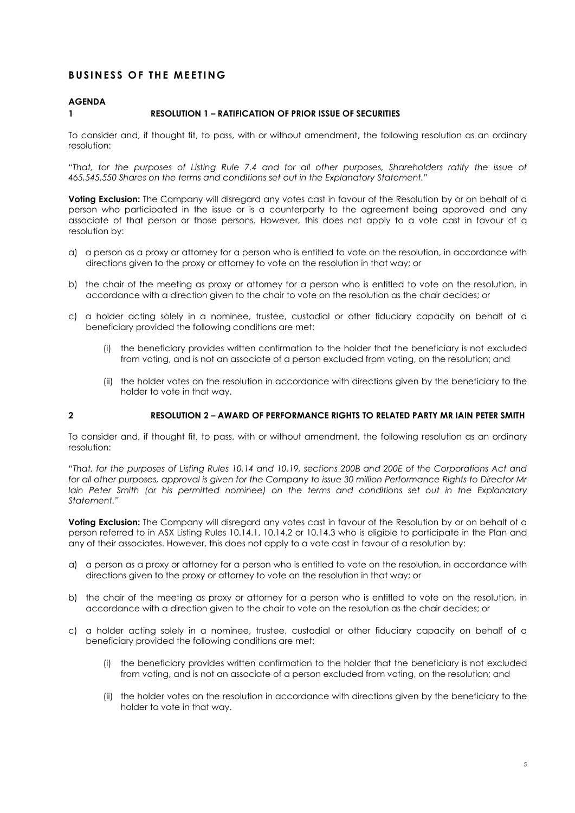# **BUSINESS OF THE MEETING**

#### **AGENDA**

#### **1 RESOLUTION 1 – RATIFICATION OF PRIOR ISSUE OF SECURITIES**

To consider and, if thought fit, to pass, with or without amendment, the following resolution as an ordinary resolution:

*"That, for the purposes of Listing Rule 7.4 and for all other purposes, Shareholders ratify the issue of 465,545,550 Shares on the terms and conditions set out in the Explanatory Statement."*

**Voting Exclusion:** The Company will disregard any votes cast in favour of the Resolution by or on behalf of a person who participated in the issue or is a counterparty to the agreement being approved and any associate of that person or those persons. However, this does not apply to a vote cast in favour of a resolution by:

- a) a person as a proxy or attorney for a person who is entitled to vote on the resolution, in accordance with directions given to the proxy or attorney to vote on the resolution in that way; or
- b) the chair of the meeting as proxy or attorney for a person who is entitled to vote on the resolution, in accordance with a direction given to the chair to vote on the resolution as the chair decides; or
- c) a holder acting solely in a nominee, trustee, custodial or other fiduciary capacity on behalf of a beneficiary provided the following conditions are met:
	- (i) the beneficiary provides written confirmation to the holder that the beneficiary is not excluded from voting, and is not an associate of a person excluded from voting, on the resolution; and
	- (ii) the holder votes on the resolution in accordance with directions given by the beneficiary to the holder to vote in that way.

#### **2 RESOLUTION 2 – AWARD OF PERFORMANCE RIGHTS TO RELATED PARTY MR IAIN PETER SMITH**

To consider and, if thought fit, to pass, with or without amendment, the following resolution as an ordinary resolution:

*"That, for the purposes of Listing Rules 10.14 and 10.19, sections 200B and 200E of the Corporations Act and*  for all other purposes, approval is given for the Company to *issue* 30 million Performance Rights to Director Mr *Iain Peter Smith (or his permitted nominee) on the terms and conditions set out in the Explanatory Statement."*

**Voting Exclusion:** The Company will disregard any votes cast in favour of the Resolution by or on behalf of a person referred to in ASX Listing Rules 10.14.1, 10.14.2 or 10.14.3 who is eligible to participate in the Plan and any of their associates. However, this does not apply to a vote cast in favour of a resolution by:

- a) a person as a proxy or attorney for a person who is entitled to vote on the resolution, in accordance with directions given to the proxy or attorney to vote on the resolution in that way; or
- b) the chair of the meeting as proxy or attorney for a person who is entitled to vote on the resolution, in accordance with a direction given to the chair to vote on the resolution as the chair decides; or
- c) a holder acting solely in a nominee, trustee, custodial or other fiduciary capacity on behalf of a beneficiary provided the following conditions are met:
	- (i) the beneficiary provides written confirmation to the holder that the beneficiary is not excluded from voting, and is not an associate of a person excluded from voting, on the resolution; and
	- (ii) the holder votes on the resolution in accordance with directions given by the beneficiary to the holder to vote in that way.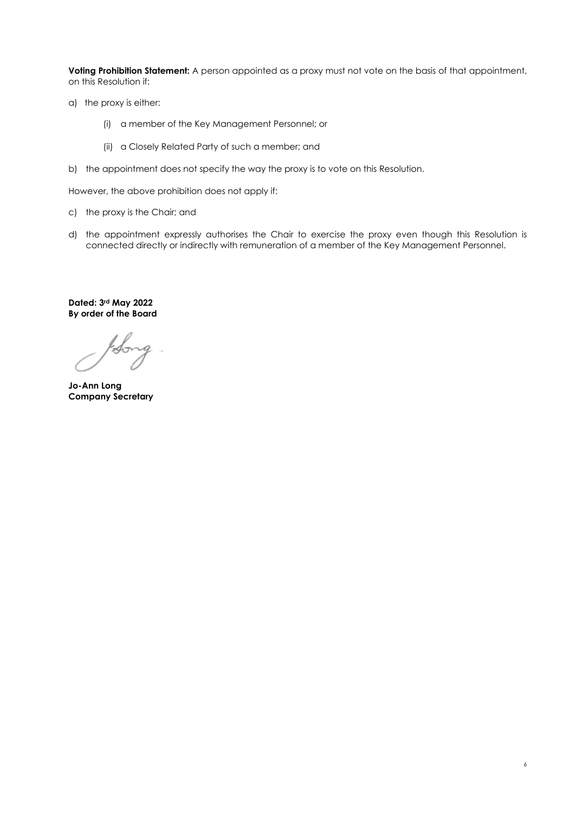**Voting Prohibition Statement:** A person appointed as a proxy must not vote on the basis of that appointment, on this Resolution if:

- a) the proxy is either:
	- (i) a member of the Key Management Personnel; or
	- (ii) a Closely Related Party of such a member; and
- b) the appointment does not specify the way the proxy is to vote on this Resolution.

However, the above prohibition does not apply if:

- c) the proxy is the Chair; and
- d) the appointment expressly authorises the Chair to exercise the proxy even though this Resolution is connected directly or indirectly with remuneration of a member of the Key Management Personnel.

**Dated: 3rd May 2022 By order of the Board**

Q

**Jo-Ann Long Company Secretary**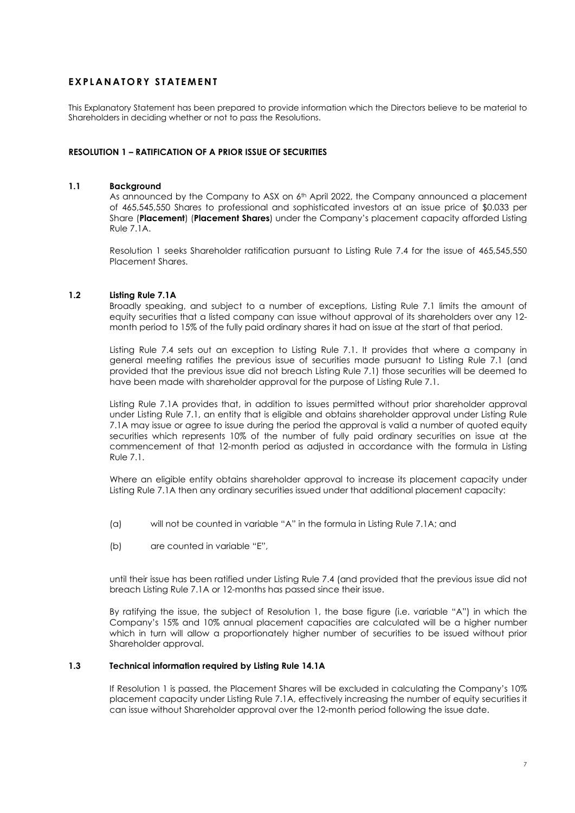### **EXPLA N ATORY STATEMEN T**

This Explanatory Statement has been prepared to provide information which the Directors believe to be material to Shareholders in deciding whether or not to pass the Resolutions.

#### **RESOLUTION 1 – RATIFICATION OF A PRIOR ISSUE OF SECURITIES**

#### **1.1 Background**

As announced by the Company to ASX on  $6<sup>th</sup>$  April 2022, the Company announced a placement of 465,545,550 Shares to professional and sophisticated investors at an issue price of \$0.033 per Share (**Placement**) (**Placement Shares**) under the Company's placement capacity afforded Listing Rule 7.1A.

Resolution 1 seeks Shareholder ratification pursuant to Listing Rule 7.4 for the issue of 465,545,550 Placement Shares.

#### **1.2 Listing Rule 7.1A**

Broadly speaking, and subject to a number of exceptions, Listing Rule 7.1 limits the amount of equity securities that a listed company can issue without approval of its shareholders over any 12 month period to 15% of the fully paid ordinary shares it had on issue at the start of that period.

Listing Rule 7.4 sets out an exception to Listing Rule 7.1. It provides that where a company in general meeting ratifies the previous issue of securities made pursuant to Listing Rule 7.1 (and provided that the previous issue did not breach Listing Rule 7.1) those securities will be deemed to have been made with shareholder approval for the purpose of Listing Rule 7.1.

Listing Rule 7.1A provides that, in addition to issues permitted without prior shareholder approval under Listing Rule 7.1, an entity that is eligible and obtains shareholder approval under Listing Rule 7.1A may issue or agree to issue during the period the approval is valid a number of quoted equity securities which represents 10% of the number of fully paid ordinary securities on issue at the commencement of that 12-month period as adjusted in accordance with the formula in Listing Rule 7.1.

Where an eligible entity obtains shareholder approval to increase its placement capacity under Listing Rule 7.1A then any ordinary securities issued under that additional placement capacity:

- (a) will not be counted in variable "A" in the formula in Listing Rule 7.1A; and
- (b) are counted in variable "E",

until their issue has been ratified under Listing Rule 7.4 (and provided that the previous issue did not breach Listing Rule 7.1A or 12-months has passed since their issue.

By ratifying the issue, the subject of Resolution 1, the base figure (i.e. variable "A") in which the Company's 15% and 10% annual placement capacities are calculated will be a higher number which in turn will allow a proportionately higher number of securities to be issued without prior Shareholder approval.

#### **1.3 Technical information required by Listing Rule 14.1A**

If Resolution 1 is passed, the Placement Shares will be excluded in calculating the Company's 10% placement capacity under Listing Rule 7.1A, effectively increasing the number of equity securities it can issue without Shareholder approval over the 12-month period following the issue date.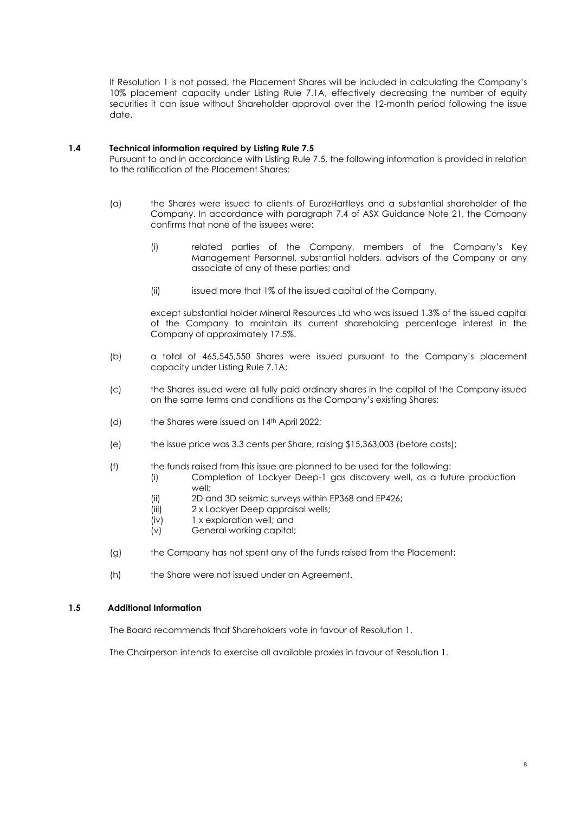If Resolution 1 is not passed, the Placement Shares will be included in calculating the Company's 10% placement capacity under Listing Rule 7.1A, effectively decreasing the number of equity securities it can issue without Shareholder approval over the 12-month period following the issue date.

#### **1.4 Technical information required by Listing Rule 7.5**

Pursuant to and in accordance with Listing Rule 7.5, the following information is provided in relation to the ratification of the Placement Shares:

- (a) the Shares were issued to clients of EurozHartleys and a substantial shareholder of the Company. In accordance with paragraph 7.4 of ASX Guidance Note 21, the Company confirms that none of the issuees were:
	- (i) related parties of the Company, members of the Company's Key Management Personnel, substantial holders, advisors of the Company or any associate of any of these parties; and
	- (ii) issued more that 1% of the issued capital of the Company,

except substantial holder Mineral Resources Ltd who was issued 1.3% of the issued capital of the Company to maintain its current shareholding percentage interest in the Company of approximately 17.5%.

- (b) a total of 465,545,550 Shares were issued pursuant to the Company's placement capacity under Listing Rule 7.1A;
- (c) the Shares issued were all fully paid ordinary shares in the capital of the Company issued on the same terms and conditions as the Company's existing Shares;
- (d) the Shares were issued on 14<sup>th</sup> April 2022;
- (e) the issue price was 3.3 cents per Share, raising \$15,363,003 (before costs);
- (f) the funds raised from this issue are planned to be used for the following:
	- (i) Completion of Lockyer Deep-1 gas discovery well, as a future production well;
	- (ii) 2D and 3D seismic surveys within EP368 and EP426;
	- (iii) 2 x Lockyer Deep appraisal wells;
	- (iv) 1 x exploration well; and
	- (v) General working capital;
- (g) the Company has not spent any of the funds raised from the Placement;
- (h) the Share were not issued under an Agreement.

#### **1.5 Additional Information**

The Board recommends that Shareholders vote in favour of Resolution 1.

The Chairperson intends to exercise all available proxies in favour of Resolution 1.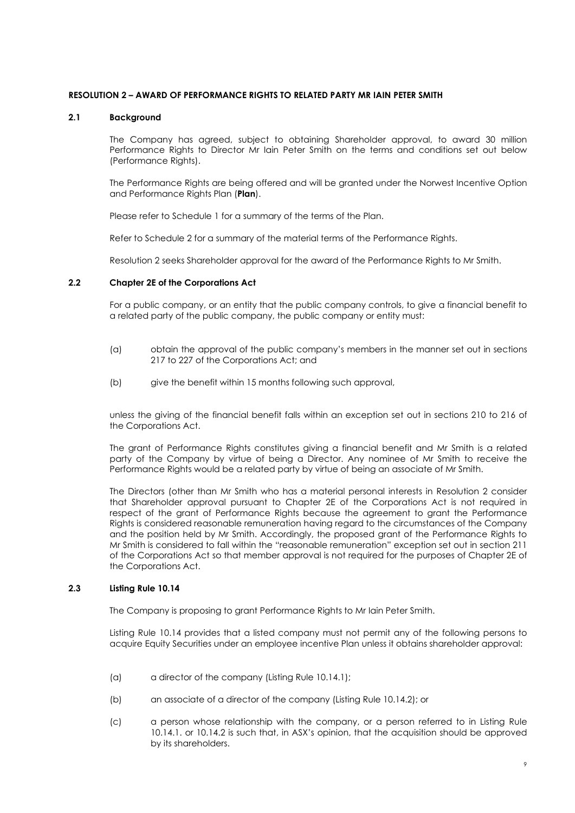#### **RESOLUTION 2 – AWARD OF PERFORMANCE RIGHTS TO RELATED PARTY MR IAIN PETER SMITH**

#### **2.1 Background**

The Company has agreed, subject to obtaining Shareholder approval, to award 30 million Performance Rights to Director Mr Iain Peter Smith on the terms and conditions set out below (Performance Rights).

The Performance Rights are being offered and will be granted under the Norwest Incentive Option and Performance Rights Plan (**Plan**).

Please refer to Schedule 1 for a summary of the terms of the Plan.

Refer to Schedule 2 for a summary of the material terms of the Performance Rights.

Resolution 2 seeks Shareholder approval for the award of the Performance Rights to Mr Smith.

#### **2.2 Chapter 2E of the Corporations Act**

For a public company, or an entity that the public company controls, to give a financial benefit to a related party of the public company, the public company or entity must:

- (a) obtain the approval of the public company's members in the manner set out in sections 217 to 227 of the Corporations Act; and
- (b) give the benefit within 15 months following such approval,

unless the giving of the financial benefit falls within an exception set out in sections 210 to 216 of the Corporations Act.

The grant of Performance Rights constitutes giving a financial benefit and Mr Smith is a related party of the Company by virtue of being a Director. Any nominee of Mr Smith to receive the Performance Rights would be a related party by virtue of being an associate of Mr Smith.

The Directors (other than Mr Smith who has a material personal interests in Resolution 2 consider that Shareholder approval pursuant to Chapter 2E of the Corporations Act is not required in respect of the grant of Performance Rights because the agreement to grant the Performance Rights is considered reasonable remuneration having regard to the circumstances of the Company and the position held by Mr Smith. Accordingly, the proposed grant of the Performance Rights to Mr Smith is considered to fall within the "reasonable remuneration" exception set out in section 211 of the Corporations Act so that member approval is not required for the purposes of Chapter 2E of the Corporations Act.

#### **2.3 Listing Rule 10.14**

The Company is proposing to grant Performance Rights to Mr Iain Peter Smith.

Listing Rule 10.14 provides that a listed company must not permit any of the following persons to acquire Equity Securities under an employee incentive Plan unless it obtains shareholder approval:

- (a) a director of the company (Listing Rule 10.14.1);
- (b) an associate of a director of the company (Listing Rule 10.14.2); or
- (c) a person whose relationship with the company, or a person referred to in Listing Rule 10.14.1. or 10.14.2 is such that, in ASX's opinion, that the acquisition should be approved by its shareholders.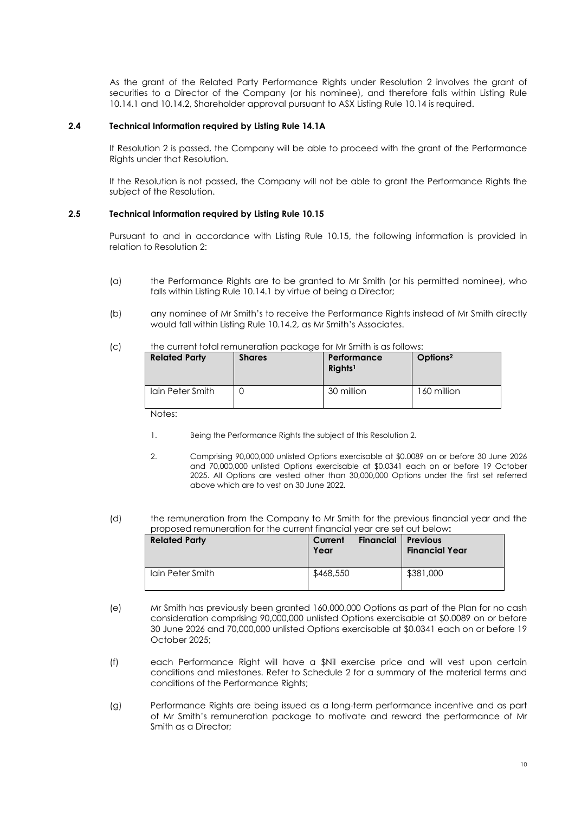As the grant of the Related Party Performance Rights under Resolution 2 involves the grant of securities to a Director of the Company (or his nominee), and therefore falls within Listing Rule 10.14.1 and 10.14.2, Shareholder approval pursuant to ASX Listing Rule 10.14 is required.

#### **2.4 Technical Information required by Listing Rule 14.1A**

If Resolution 2 is passed, the Company will be able to proceed with the grant of the Performance Rights under that Resolution.

If the Resolution is not passed, the Company will not be able to grant the Performance Rights the subject of the Resolution.

#### **2.5 Technical Information required by Listing Rule 10.15**

Pursuant to and in accordance with Listing Rule 10.15, the following information is provided in relation to Resolution 2:

- (a) the Performance Rights are to be granted to Mr Smith (or his permitted nominee), who falls within Listing Rule 10.14.1 by virtue of being a Director;
- (b) any nominee of Mr Smith's to receive the Performance Rights instead of Mr Smith directly would fall within Listing Rule 10.14.2, as Mr Smith's Associates.

#### (c) the current total remuneration package for Mr Smith is as follows:

| <b>Related Party</b> | <b>Shares</b> | Performance<br>Right <sup>1</sup> | Options <sup>2</sup> |
|----------------------|---------------|-----------------------------------|----------------------|
| Iain Peter Smith     |               | 30 million                        | 160 million          |

Notes:

- 1. Being the Performance Rights the subject of this Resolution 2.
- 2. Comprising 90,000,000 unlisted Options exercisable at \$0.0089 on or before 30 June 2026 and 70,000,000 unlisted Options exercisable at \$0.0341 each on or before 19 October 2025. All Options are vested other than 30,000,000 Options under the first set referred above which are to vest on 30 June 2022.
- (d) the remuneration from the Company to Mr Smith for the previous financial year and the proposed remuneration for the current financial year are set out below**:**

| <b>Related Party</b> | Current<br>Year | <b>Financial</b> | <b>Previous</b><br><b>Financial Year</b> |
|----------------------|-----------------|------------------|------------------------------------------|
| Iain Peter Smith     | \$468,550       |                  | \$381,000                                |

- (e) Mr Smith has previously been granted 160,000,000 Options as part of the Plan for no cash consideration comprising 90,000,000 unlisted Options exercisable at \$0.0089 on or before 30 June 2026 and 70,000,000 unlisted Options exercisable at \$0.0341 each on or before 19 October 2025;
- (f) each Performance Right will have a \$Nil exercise price and will vest upon certain conditions and milestones. Refer to Schedule 2 for a summary of the material terms and conditions of the Performance Rights;
- (g) Performance Rights are being issued as a long-term performance incentive and as part of Mr Smith's remuneration package to motivate and reward the performance of Mr Smith as a Director;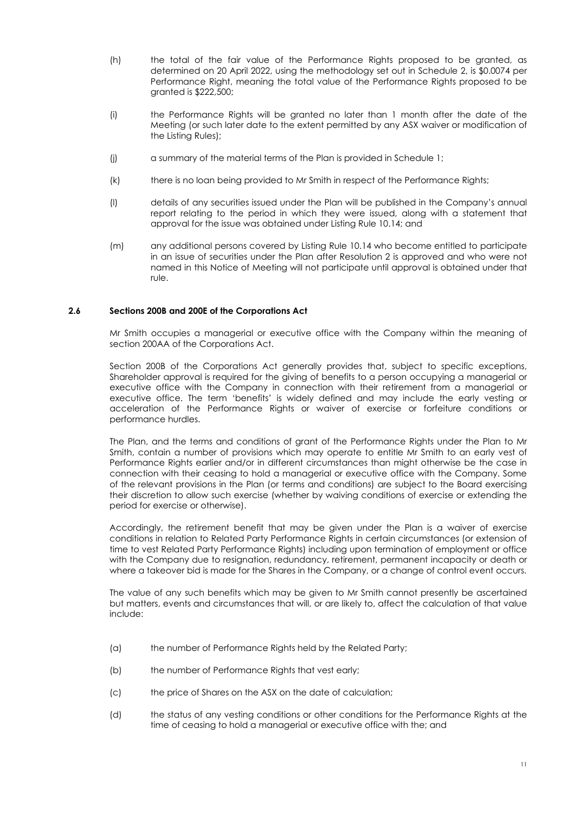- (h) the total of the fair value of the Performance Rights proposed to be granted, as determined on 20 April 2022, using the methodology set out in Schedule 2, is \$0.0074 per Performance Right, meaning the total value of the Performance Rights proposed to be granted is \$222,500;
- (i) the Performance Rights will be granted no later than 1 month after the date of the Meeting (or such later date to the extent permitted by any ASX waiver or modification of the Listing Rules);
- (j) a summary of the material terms of the Plan is provided in Schedule 1;
- (k) there is no loan being provided to Mr Smith in respect of the Performance Rights;
- (l) details of any securities issued under the Plan will be published in the Company's annual report relating to the period in which they were issued, along with a statement that approval for the issue was obtained under Listing Rule 10.14; and
- (m) any additional persons covered by Listing Rule 10.14 who become entitled to participate in an issue of securities under the Plan after Resolution 2 is approved and who were not named in this Notice of Meeting will not participate until approval is obtained under that rule.

#### **2.6 Sections 200B and 200E of the Corporations Act**

Mr Smith occupies a managerial or executive office with the Company within the meaning of section 200AA of the Corporations Act.

Section 200B of the Corporations Act generally provides that, subject to specific exceptions, Shareholder approval is required for the giving of benefits to a person occupying a managerial or executive office with the Company in connection with their retirement from a managerial or executive office. The term 'benefits' is widely defined and may include the early vesting or acceleration of the Performance Rights or waiver of exercise or forfeiture conditions or performance hurdles.

The Plan, and the terms and conditions of grant of the Performance Rights under the Plan to Mr Smith, contain a number of provisions which may operate to entitle Mr Smith to an early vest of Performance Rights earlier and/or in different circumstances than might otherwise be the case in connection with their ceasing to hold a managerial or executive office with the Company. Some of the relevant provisions in the Plan (or terms and conditions) are subject to the Board exercising their discretion to allow such exercise (whether by waiving conditions of exercise or extending the period for exercise or otherwise).

Accordingly, the retirement benefit that may be given under the Plan is a waiver of exercise conditions in relation to Related Party Performance Rights in certain circumstances (or extension of time to vest Related Party Performance Rights) including upon termination of employment or office with the Company due to resignation, redundancy, retirement, permanent incapacity or death or where a takeover bid is made for the Shares in the Company, or a change of control event occurs.

The value of any such benefits which may be given to Mr Smith cannot presently be ascertained but matters, events and circumstances that will, or are likely to, affect the calculation of that value include:

- (a) the number of Performance Rights held by the Related Party;
- (b) the number of Performance Rights that vest early;
- (c) the price of Shares on the ASX on the date of calculation;
- (d) the status of any vesting conditions or other conditions for the Performance Rights at the time of ceasing to hold a managerial or executive office with the; and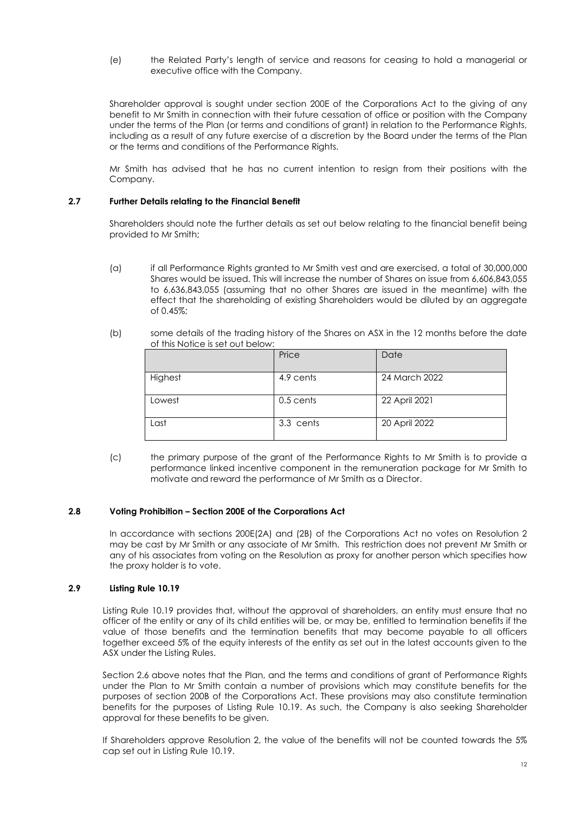(e) the Related Party's length of service and reasons for ceasing to hold a managerial or executive office with the Company.

Shareholder approval is sought under section 200E of the Corporations Act to the giving of any benefit to Mr Smith in connection with their future cessation of office or position with the Company under the terms of the Plan (or terms and conditions of grant) in relation to the Performance Rights, including as a result of any future exercise of a discretion by the Board under the terms of the Plan or the terms and conditions of the Performance Rights.

Mr Smith has advised that he has no current intention to resign from their positions with the Company.

#### **2.7 Further Details relating to the Financial Benefit**

Shareholders should note the further details as set out below relating to the financial benefit being provided to Mr Smith;

- (a) if all Performance Rights granted to Mr Smith vest and are exercised, a total of 30,000,000 Shares would be issued. This will increase the number of Shares on issue from 6,606,843,055 to 6,636,843,055 (assuming that no other Shares are issued in the meantime) with the effect that the shareholding of existing Shareholders would be diluted by an aggregate of 0.45%;
- (b) some details of the trading history of the Shares on ASX in the 12 months before the date of this Notice is set out below:

|         | Price     | Date          |
|---------|-----------|---------------|
| Highest | 4.9 cents | 24 March 2022 |
| Lowest  | 0.5 cents | 22 April 2021 |
| Last    | 3.3 cents | 20 April 2022 |

(c) the primary purpose of the grant of the Performance Rights to Mr Smith is to provide a performance linked incentive component in the remuneration package for Mr Smith to motivate and reward the performance of Mr Smith as a Director.

#### **2.8 Voting Prohibition – Section 200E of the Corporations Act**

In accordance with sections 200E(2A) and (2B) of the Corporations Act no votes on Resolution 2 may be cast by Mr Smith or any associate of Mr Smith. This restriction does not prevent Mr Smith or any of his associates from voting on the Resolution as proxy for another person which specifies how the proxy holder is to vote.

#### **2.9 Listing Rule 10.19**

Listing Rule 10.19 provides that, without the approval of shareholders, an entity must ensure that no officer of the entity or any of its child entities will be, or may be, entitled to termination benefits if the value of those benefits and the termination benefits that may become payable to all officers together exceed 5% of the equity interests of the entity as set out in the latest accounts given to the ASX under the Listing Rules.

Section 2.6 above notes that the Plan, and the terms and conditions of grant of Performance Rights under the Plan to Mr Smith contain a number of provisions which may constitute benefits for the purposes of section 200B of the Corporations Act. These provisions may also constitute termination benefits for the purposes of Listing Rule 10.19. As such, the Company is also seeking Shareholder approval for these benefits to be given.

If Shareholders approve Resolution 2, the value of the benefits will not be counted towards the 5% cap set out in Listing Rule 10.19.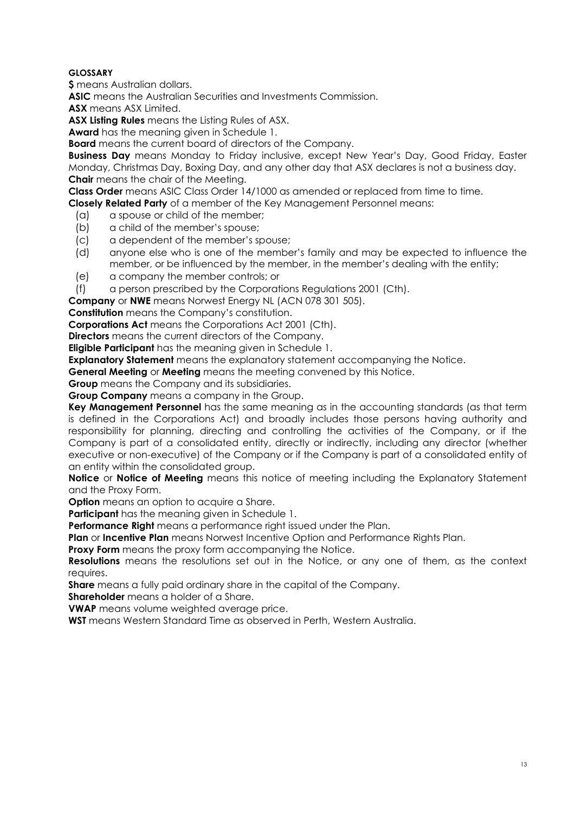### **GLOSSARY**

**\$** means Australian dollars.

**ASIC** means the Australian Securities and Investments Commission.

**ASX** means ASX Limited.

**ASX Listing Rules** means the Listing Rules of ASX.

**Award** has the meaning given in Schedule 1.

**Board** means the current board of directors of the Company.

**Business Day** means Monday to Friday inclusive, except New Year's Day, Good Friday, Easter Monday, Christmas Day, Boxing Day, and any other day that ASX declares is not a business day. **Chair** means the chair of the Meeting.

**Class Order** means ASIC Class Order 14/1000 as amended or replaced from time to time.

**Closely Related Party** of a member of the Key Management Personnel means:

- (a) a spouse or child of the member;
- (b) a child of the member's spouse;
- (c) a dependent of the member's spouse;
- (d) anyone else who is one of the member's family and may be expected to influence the member, or be influenced by the member, in the member's dealing with the entity;
- (e) a company the member controls; or

(f) a person prescribed by the Corporations Regulations 2001 (Cth).

**Company** or **NWE** means Norwest Energy NL (ACN 078 301 505).

**Constitution** means the Company's constitution.

**Corporations Act** means the Corporations Act 2001 (Cth).

**Directors** means the current directors of the Company.

**Eligible Participant** has the meaning given in Schedule 1.

**Explanatory Statement** means the explanatory statement accompanying the Notice.

**General Meeting** or **Meeting** means the meeting convened by this Notice.

**Group** means the Company and its subsidiaries.

**Group Company** means a company in the Group.

**Key Management Personnel** has the same meaning as in the accounting standards (as that term is defined in the Corporations Act) and broadly includes those persons having authority and responsibility for planning, directing and controlling the activities of the Company, or if the Company is part of a consolidated entity, directly or indirectly, including any director (whether executive or non-executive) of the Company or if the Company is part of a consolidated entity of an entity within the consolidated group.

**Notice** or **Notice of Meeting** means this notice of meeting including the Explanatory Statement and the Proxy Form.

**Option** means an option to acquire a Share.

**Participant** has the meaning given in Schedule 1.

**Performance Right** means a performance right issued under the Plan.

**Plan** or **Incentive Plan** means Norwest Incentive Option and Performance Rights Plan.

**Proxy Form** means the proxy form accompanying the Notice.

**Resolutions** means the resolutions set out in the Notice, or any one of them, as the context requires.

**Share** means a fully paid ordinary share in the capital of the Company.

**Shareholder** means a holder of a Share.

**VWAP** means volume weighted average price.

**WST** means Western Standard Time as observed in Perth, Western Australia.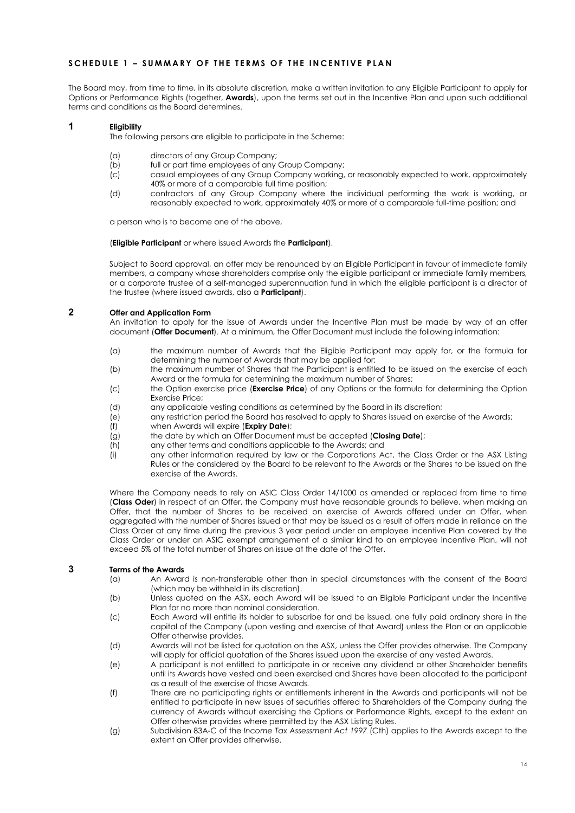#### **SCHEDULE 1 – SUMMARY O F T H E TERMS OF THE INCENTIVE PLAN**

The Board may, from time to time, in its absolute discretion, make a written invitation to any Eligible Participant to apply for Options or Performance Rights (together, **Awards**), upon the terms set out in the Incentive Plan and upon such additional terms and conditions as the Board determines.

#### **1 Eligibility**

The following persons are eligible to participate in the Scheme:

- (a) directors of any Group Company;<br>(b) full or part time employees of any
- full or part time employees of any Group Company;
- (c) casual employees of any Group Company working, or reasonably expected to work, approximately 40% or more of a comparable full time position;
- (d) contractors of any Group Company where the individual performing the work is working, or reasonably expected to work, approximately 40% or more of a comparable full-time position; and

a person who is to become one of the above,

(**Eligible Participant** or where issued Awards the **Participant**).

Subject to Board approval, an offer may be renounced by an Eligible Participant in favour of immediate family members, a company whose shareholders comprise only the eligible participant or immediate family members, or a corporate trustee of a self-managed superannuation fund in which the eligible participant is a director of the trustee (where issued awards, also a **Participant**).

#### **2 Offer and Application Form**

An invitation to apply for the issue of Awards under the Incentive Plan must be made by way of an offer document (**Offer Document**). At a minimum, the Offer Document must include the following information:

- (a) the maximum number of Awards that the Eligible Participant may apply for, or the formula for determining the number of Awards that may be applied for;
- (b) the maximum number of Shares that the Participant is entitled to be issued on the exercise of each Award or the formula for determining the maximum number of Shares;
- (c) the Option exercise price (**Exercise Price**) of any Options or the formula for determining the Option Exercise Price;
- (d) any applicable vesting conditions as determined by the Board in its discretion;
- (e) any restriction period the Board has resolved to apply to Shares issued on exercise of the Awards;
- (f) when Awards will expire (**Expiry Date**);
- (g) the date by which an Offer Document must be accepted (**Closing Date**);
- (h) any other terms and conditions applicable to the Awards; and
- (i) any other information required by law or the Corporations Act, the Class Order or the ASX Listing Rules or the considered by the Board to be relevant to the Awards or the Shares to be issued on the exercise of the Awards.

Where the Company needs to rely on ASIC Class Order 14/1000 as amended or replaced from time to time (**Class Oder**) in respect of an Offer, the Company must have reasonable grounds to believe, when making an Offer, that the number of Shares to be received on exercise of Awards offered under an Offer, when aggregated with the number of Shares issued or that may be issued as a result of offers made in reliance on the Class Order at any time during the previous 3 year period under an employee incentive Plan covered by the Class Order or under an ASIC exempt arrangement of a similar kind to an employee incentive Plan, will not exceed 5% of the total number of Shares on issue at the date of the Offer.

# **3 Terms of the Awards**<br>(a) **An Award**

- An Award is non-transferable other than in special circumstances with the consent of the Board (which may be withheld in its discretion).
- (b) Unless quoted on the ASX, each Award will be issued to an Eligible Participant under the Incentive Plan for no more than nominal consideration.
- (c) Each Award will entitle its holder to subscribe for and be issued, one fully paid ordinary share in the capital of the Company (upon vesting and exercise of that Award) unless the Plan or an applicable Offer otherwise provides.
- (d) Awards will not be listed for quotation on the ASX, unless the Offer provides otherwise. The Company will apply for official quotation of the Shares issued upon the exercise of any vested Awards.
- (e) A participant is not entitled to participate in or receive any dividend or other Shareholder benefits until its Awards have vested and been exercised and Shares have been allocated to the participant as a result of the exercise of those Awards.
- (f) There are no participating rights or entitlements inherent in the Awards and participants will not be entitled to participate in new issues of securities offered to Shareholders of the Company during the currency of Awards without exercising the Options or Performance Rights, except to the extent an Offer otherwise provides where permitted by the ASX Listing Rules.
- (g) Subdivision 83A-C of the *Income Tax Assessment Act 1997* (Cth) applies to the Awards except to the extent an Offer provides otherwise.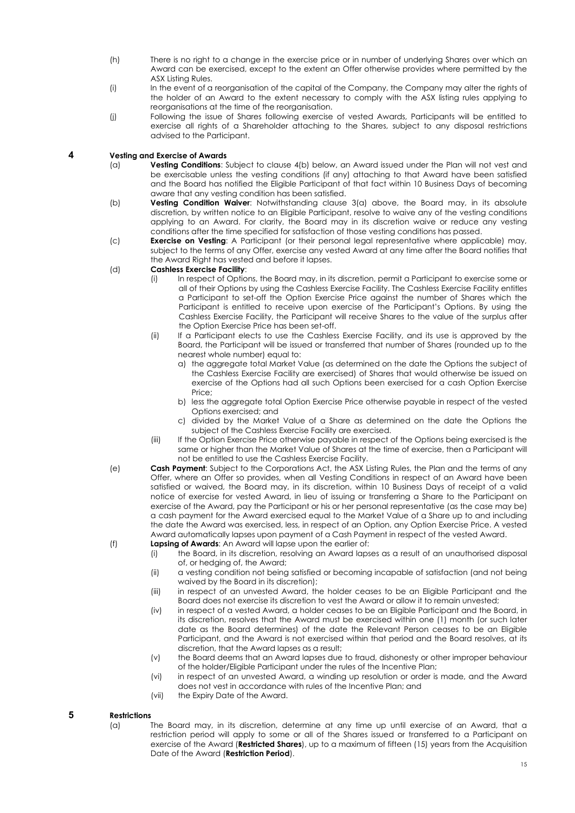- (h) There is no right to a change in the exercise price or in number of underlying Shares over which an Award can be exercised, except to the extent an Offer otherwise provides where permitted by the ASX Listing Rules.
- (i) In the event of a reorganisation of the capital of the Company, the Company may alter the rights of the holder of an Award to the extent necessary to comply with the ASX listing rules applying to reorganisations at the time of the reorganisation.
- (j) Following the issue of Shares following exercise of vested Awards, Participants will be entitled to exercise all rights of a Shareholder attaching to the Shares, subject to any disposal restrictions advised to the Participant.

# <span id="page-14-2"></span><span id="page-14-1"></span>**4 Vesting and Exercise of Awards**

- Vesting Conditions: Subject to clause [4\(b\)](#page-14-0) below, an Award issued under the Plan will not vest and be exercisable unless the vesting conditions (if any) attaching to that Award have been satisfied and the Board has notified the Eligible Participant of that fact within 10 Business Days of becoming aware that any vesting condition has been satisfied.
- <span id="page-14-0"></span>(b) **Vesting Condition Waiver**: Notwithstanding clause [3](#page-14-1)[\(a\)](#page-14-2) above, the Board may, in its absolute discretion, by written notice to an Eligible Participant, resolve to waive any of the vesting conditions applying to an Award. For clarity, the Board may in its discretion waive or reduce any vesting conditions after the time specified for satisfaction of those vesting conditions has passed.
- (c) **Exercise on Vesting**: A Participant (or their personal legal representative where applicable) may, subject to the terms of any Offer, exercise any vested Award at any time after the Board notifies that the Award Right has vested and before it lapses.

#### (d) **Cashless Exercise Facility**:

- (i) In respect of Options, the Board may, in its discretion, permit a Participant to exercise some or all of their Options by using the Cashless Exercise Facility. The Cashless Exercise Facility entitles a Participant to set-off the Option Exercise Price against the number of Shares which the Participant is entitled to receive upon exercise of the Participant's Options. By using the Cashless Exercise Facility, the Participant will receive Shares to the value of the surplus after the Option Exercise Price has been set-off.
- (ii) If a Participant elects to use the Cashless Exercise Facility, and its use is approved by the Board, the Participant will be issued or transferred that number of Shares (rounded up to the nearest whole number) equal to:
	- a) the aggregate total Market Value (as determined on the date the Options the subject of the Cashless Exercise Facility are exercised) of Shares that would otherwise be issued on exercise of the Options had all such Options been exercised for a cash Option Exercise Price;
	- b) less the aggregate total Option Exercise Price otherwise payable in respect of the vested Options exercised; and
	- c) divided by the Market Value of a Share as determined on the date the Options the subject of the Cashless Exercise Facility are exercised.
- (iii) If the Option Exercise Price otherwise payable in respect of the Options being exercised is the same or higher than the Market Value of Shares at the time of exercise, then a Participant will not be entitled to use the Cashless Exercise Facility.
- (e) **Cash Payment**: Subject to the Corporations Act, the ASX Listing Rules, the Plan and the terms of any Offer, where an Offer so provides, when all Vesting Conditions in respect of an Award have been satisfied or waived, the Board may, in its discretion, within 10 Business Days of receipt of a valid notice of exercise for vested Award, in lieu of issuing or transferring a Share to the Participant on exercise of the Award, pay the Participant or his or her personal representative (as the case may be) a cash payment for the Award exercised equal to the Market Value of a Share up to and including the date the Award was exercised, less, in respect of an Option, any Option Exercise Price. A vested Award automatically lapses upon payment of a Cash Payment in respect of the vested Award.

(f) **Lapsing of Awards**: An Award will lapse upon the earlier of:

- (i) the Board, in its discretion, resolving an Award lapses as a result of an unauthorised disposal of, or hedging of, the Award;
- (ii) a vesting condition not being satisfied or becoming incapable of satisfaction (and not being waived by the Board in its discretion);
- (iii) in respect of an unvested Award, the holder ceases to be an Eligible Participant and the Board does not exercise its discretion to vest the Award or allow it to remain unvested;
- (iv) in respect of a vested Award, a holder ceases to be an Eligible Participant and the Board, in its discretion, resolves that the Award must be exercised within one (1) month (or such later date as the Board determines) of the date the Relevant Person ceases to be an Eligible Participant, and the Award is not exercised within that period and the Board resolves, at its discretion, that the Award lapses as a result;
- (v) the Board deems that an Award lapses due to fraud, dishonesty or other improper behaviour of the holder/Eligible Participant under the rules of the Incentive Plan;
- (vi) in respect of an unvested Award, a winding up resolution or order is made, and the Award does not vest in accordance with rules of the Incentive Plan; and
- (vii) the Expiry Date of the Award.

# **5 Restrictions**

The Board may, in its discretion, determine at any time up until exercise of an Award, that a restriction period will apply to some or all of the Shares issued or transferred to a Participant on exercise of the Award (**Restricted Shares**), up to a maximum of fifteen (15) years from the Acquisition Date of the Award (**Restriction Period**).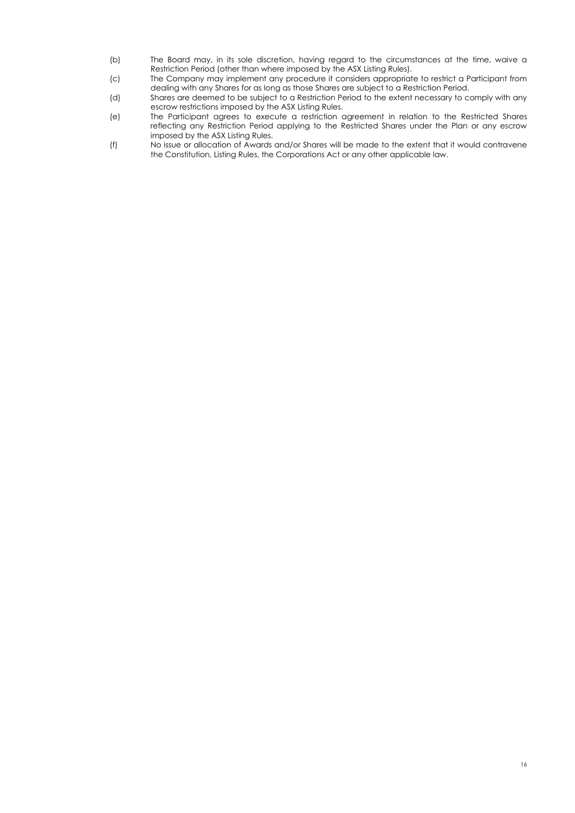- (b) The Board may, in its sole discretion, having regard to the circumstances at the time, waive a Restriction Period (other than where imposed by the ASX Listing Rules).
- (c) The Company may implement any procedure it considers appropriate to restrict a Participant from dealing with any Shares for as long as those Shares are subject to a Restriction Period.
- (d) Shares are deemed to be subject to a Restriction Period to the extent necessary to comply with any escrow restrictions imposed by the ASX Listing Rules.
- (e) The Participant agrees to execute a restriction agreement in relation to the Restricted Shares reflecting any Restriction Period applying to the Restricted Shares under the Plan or any escrow imposed by the ASX Listing Rules.
- (f) No issue or allocation of Awards and/or Shares will be made to the extent that it would contravene the Constitution, Listing Rules, the Corporations Act or any other applicable law.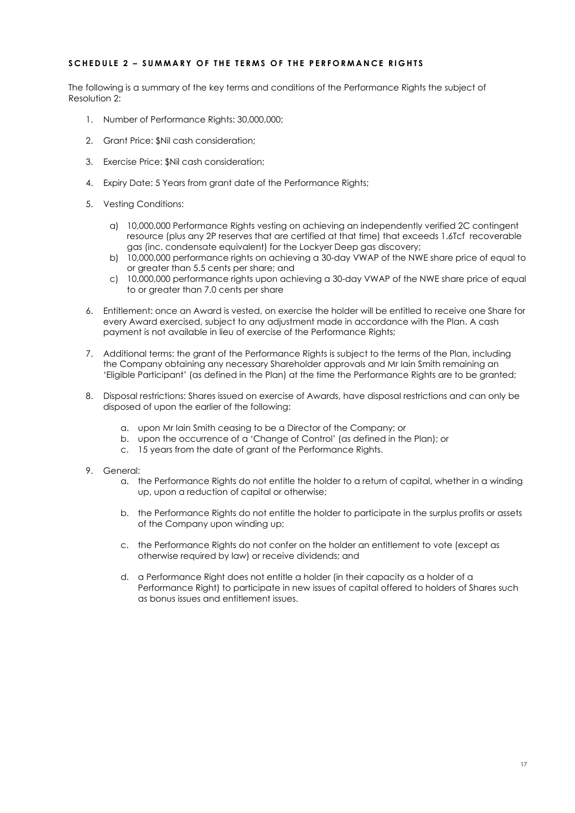#### **SCHEDUL E 2 – SUMMARY OF THE TERMS OF THE PERFORM A NCE RIGHTS**

The following is a summary of the key terms and conditions of the Performance Rights the subject of Resolution 2:

- 1. Number of Performance Rights: 30,000,000;
- 2. Grant Price: \$Nil cash consideration;
- 3. Exercise Price: \$Nil cash consideration;
- 4. Expiry Date: 5 Years from grant date of the Performance Rights;
- 5. Vesting Conditions:
	- a) 10,000,000 Performance Rights vesting on achieving an independently verified 2C contingent resource (plus any 2P reserves that are certified at that time) that exceeds 1.6Tcf recoverable gas (inc. condensate equivalent) for the Lockyer Deep gas discovery;
	- b) 10,000,000 performance rights on achieving a 30-day VWAP of the NWE share price of equal to or greater than 5.5 cents per share; and
	- c) 10,000,000 performance rights upon achieving a 30-day VWAP of the NWE share price of equal to or greater than 7.0 cents per share
- 6. Entitlement: once an Award is vested, on exercise the holder will be entitled to receive one Share for every Award exercised, subject to any adjustment made in accordance with the Plan. A cash payment is not available in lieu of exercise of the Performance Rights;
- 7. Additional terms: the grant of the Performance Rights is subject to the terms of the Plan, including the Company obtaining any necessary Shareholder approvals and Mr Iain Smith remaining an 'Eligible Participant' (as defined in the Plan) at the time the Performance Rights are to be granted;
- 8. Disposal restrictions: Shares issued on exercise of Awards, have disposal restrictions and can only be disposed of upon the earlier of the following:
	- a. upon Mr Iain Smith ceasing to be a Director of the Company; or
	- b. upon the occurrence of a 'Change of Control' (as defined in the Plan); or
	- c. 15 years from the date of grant of the Performance Rights.
- 9. General:
	- a. the Performance Rights do not entitle the holder to a return of capital, whether in a winding up, upon a reduction of capital or otherwise;
	- b. the Performance Rights do not entitle the holder to participate in the surplus profits or assets of the Company upon winding up;
	- c. the Performance Rights do not confer on the holder an entitlement to vote (except as otherwise required by law) or receive dividends; and
	- d. a Performance Right does not entitle a holder (in their capacity as a holder of a Performance Right) to participate in new issues of capital offered to holders of Shares such as bonus issues and entitlement issues.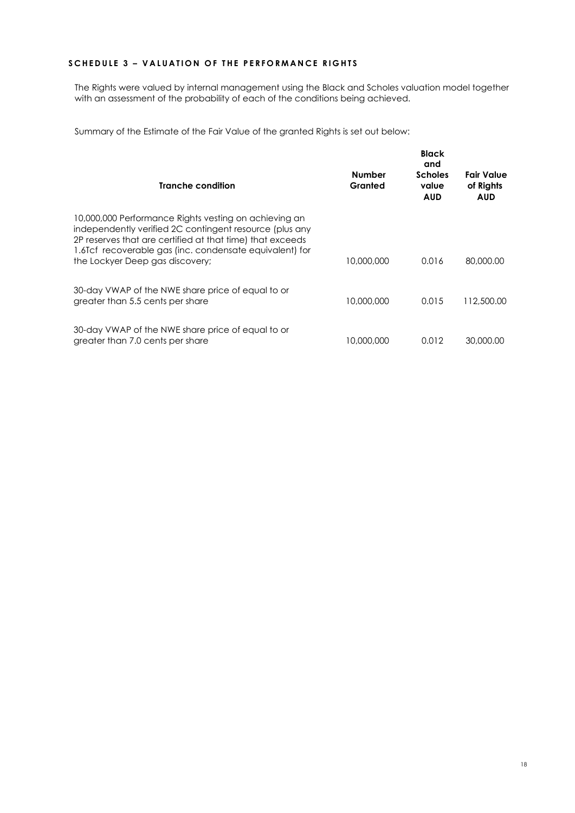### **SCHEDULE 3 - VALUATION OF THE PERFORMANCE RIGHTS**

The Rights were valued by internal management using the Black and Scholes valuation model together with an assessment of the probability of each of the conditions being achieved.

Summary of the Estimate of the Fair Value of the granted Rights is set out below:

| Tranche condition                                                                                                                                                                                                                                                           | <b>Number</b><br>Granted | <b>Black</b><br>and<br><b>Scholes</b><br>value<br><b>AUD</b> | Fair Value<br>of Rights<br><b>AUD</b> |
|-----------------------------------------------------------------------------------------------------------------------------------------------------------------------------------------------------------------------------------------------------------------------------|--------------------------|--------------------------------------------------------------|---------------------------------------|
| 10,000,000 Performance Rights vesting on achieving an<br>independently verified 2C contingent resource (plus any<br>2P reserves that are certified at that time) that exceeds<br>1.6Tcf recoverable gas (inc. condensate equivalent) for<br>the Lockyer Deep gas discovery; | 10,000,000               | 0.016                                                        | 80,000.00                             |
| 30-day VWAP of the NWE share price of equal to or<br>greater than 5.5 cents per share                                                                                                                                                                                       | 10,000,000               | 0.015                                                        | 112,500.00                            |
| 30-day VWAP of the NWE share price of equal to or<br>greater than 7.0 cents per share                                                                                                                                                                                       | 10,000,000               | 0.012                                                        | 30,000.00                             |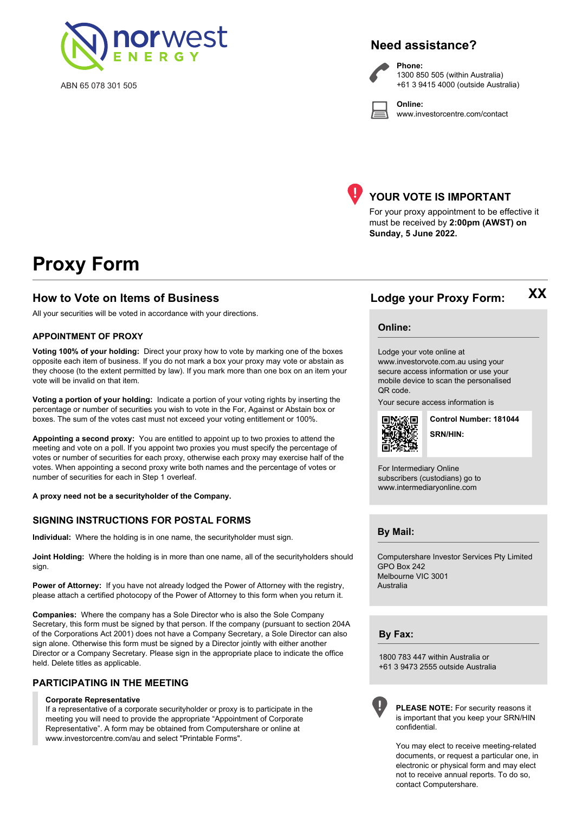

ABN 65 078 301 505

# **Need assistance?**

**Phone:**

**Online:**



1300 850 505 (within Australia) +61 3 9415 4000 (outside Australia)

www.investorcentre.com/contact



# **YOUR VOTE IS IMPORTANT**

For your proxy appointment to be effective it must be received by **2:00pm (AWST) on Sunday, 5 June 2022.**

# **Proxy Form**

### **How to Vote on Items of Business Lodge your Proxy Form:**

All your securities will be voted in accordance with your directions.

#### **APPOINTMENT OF PROXY**

**Voting 100% of your holding:** Direct your proxy how to vote by marking one of the boxes opposite each item of business. If you do not mark a box your proxy may vote or abstain as they choose (to the extent permitted by law). If you mark more than one box on an item your vote will be invalid on that item.

**Voting a portion of your holding:** Indicate a portion of your voting rights by inserting the percentage or number of securities you wish to vote in the For, Against or Abstain box or boxes. The sum of the votes cast must not exceed your voting entitlement or 100%.

**Appointing a second proxy:** You are entitled to appoint up to two proxies to attend the meeting and vote on a poll. If you appoint two proxies you must specify the percentage of votes or number of securities for each proxy, otherwise each proxy may exercise half of the votes. When appointing a second proxy write both names and the percentage of votes or number of securities for each in Step 1 overleaf.

**A proxy need not be a securityholder of the Company.**

#### **SIGNING INSTRUCTIONS FOR POSTAL FORMS**

**Individual:** Where the holding is in one name, the securityholder must sign.

**Joint Holding:** Where the holding is in more than one name, all of the securityholders should sign.

**Power of Attorney:** If you have not already lodged the Power of Attorney with the registry, please attach a certified photocopy of the Power of Attorney to this form when you return it.

**Companies:** Where the company has a Sole Director who is also the Sole Company Secretary, this form must be signed by that person. If the company (pursuant to section 204A of the Corporations Act 2001) does not have a Company Secretary, a Sole Director can also sign alone. Otherwise this form must be signed by a Director jointly with either another Director or a Company Secretary. Please sign in the appropriate place to indicate the office held. Delete titles as applicable.

#### **PARTICIPATING IN THE MEETING**

#### **Corporate Representative**

If a representative of a corporate securityholder or proxy is to participate in the meeting you will need to provide the appropriate "Appointment of Corporate Representative". A form may be obtained from Computershare or online at www.investorcentre.com/au and select "Printable Forms".

**XX**

**Online:**

### Lodge your vote online at

www.investorvote.com.au using your secure access information or use your mobile device to scan the personalised QR code.

Your secure access information is



**SRN/HIN: Control Number: 181044**

For Intermediary Online subscribers (custodians) go to www.intermediaryonline.com

**By Mail:**

Computershare Investor Services Pty Limited GPO Box 242 Melbourne VIC 3001 Australia

**By Fax:**

1800 783 447 within Australia or +61 3 9473 2555 outside Australia



**PLEASE NOTE:** For security reasons it is important that you keep your SRN/HIN confidential.

You may elect to receive meeting-related documents, or request a particular one, in electronic or physical form and may elect not to receive annual reports. To do so, contact Computershare.